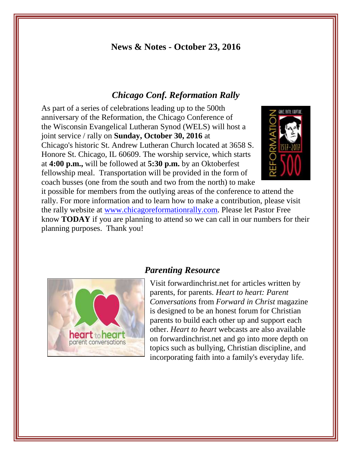## **News & Notes - October 23, 2016**

## *Chicago Conf. Reformation Rally*

As part of a series of celebrations leading up to the 500th anniversary of the Reformation, the Chicago Conference of the Wisconsin Evangelical Lutheran Synod (WELS) will host a joint service / rally on **Sunday, October 30, 2016** at Chicago's historic St. Andrew Lutheran Church located at 3658 S. Honore St. Chicago, IL 60609. The worship service, which starts at **4:00 p.m.,** will be followed at **5:30 p.m.** by an Oktoberfest fellowship meal. Transportation will be provided in the form of coach busses (one from the south and two from the north) to make



it possible for members from the outlying areas of the conference to attend the rally. For more information and to learn how to make a contribution, please visit the rally website at [www.chicagoreformationrally.com.](http://newlife-wels.us2.list-manage2.com/track/click?u=2652fb7e265de6ef7aa731a6d&id=ced447d1da&e=fb6ae4dd81) Please let Pastor Free know **TODAY** if you are planning to attend so we can call in our numbers for their planning purposes. Thank you!



#### *Parenting Resource*

Visit forwardinchrist.net for articles written by parents, for parents. *Heart to heart: Parent Conversations* from *Forward in Christ* magazine is designed to be an honest forum for Christian parents to build each other up and support each other. *Heart to heart* webcasts are also available on forwardinchrist.net and go into more depth on topics such as bullying, Christian discipline, and incorporating faith into a family's everyday life.